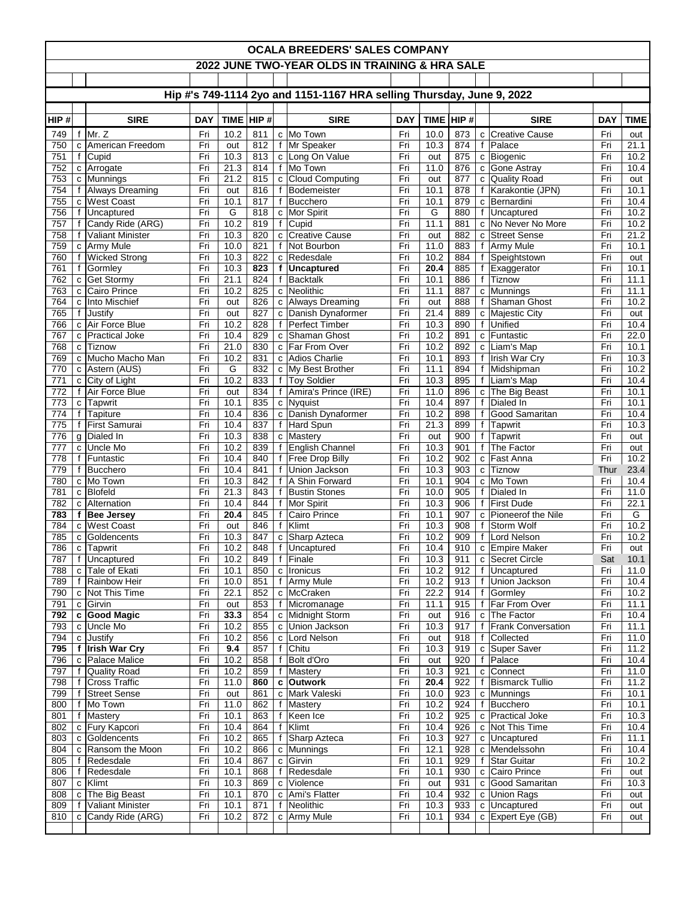| OCALA BREEDERS' SALES COMPANY                                         |  |                                       |            |              |            |              |                                                |            |              |            |   |                                         |            |                           |
|-----------------------------------------------------------------------|--|---------------------------------------|------------|--------------|------------|--------------|------------------------------------------------|------------|--------------|------------|---|-----------------------------------------|------------|---------------------------|
|                                                                       |  |                                       |            |              |            |              | 2022 JUNE TWO-YEAR OLDS IN TRAINING & HRA SALE |            |              |            |   |                                         |            |                           |
|                                                                       |  |                                       |            |              |            |              |                                                |            |              |            |   |                                         |            |                           |
| Hip #'s 749-1114 2yo and 1151-1167 HRA selling Thursday, June 9, 2022 |  |                                       |            |              |            |              |                                                |            |              |            |   |                                         |            |                           |
| HIP #                                                                 |  | <b>SIRE</b>                           | <b>DAY</b> |              | TIME HIP # |              | <b>SIRE</b>                                    | <b>DAY</b> | TIME HIP #   |            |   | <b>SIRE</b>                             | <b>DAY</b> | <b>TIME</b>               |
| 749                                                                   |  | f $Mr. Z$                             | Fri        | 10.2         | 811        |              | c Mo Town                                      | Fri        | 10.0         | 873        |   | c Creative Cause                        | Fri        | out                       |
| 750                                                                   |  | c American Freedom                    | Fri        | out          | 812        |              | f Mr Speaker                                   | Fri        | 10.3         | 874        |   | f Palace                                | Fri        | 21.1                      |
| 751                                                                   |  | f Cupid                               | Fri        | 10.3         | 813        |              | c Long On Value                                | Fri        | out          | 875        |   | c Biogenic                              | Fri        | 10.2                      |
| 752                                                                   |  | c Arrogate                            | Fri        | 21.3         | 814        |              | f Mo Town                                      | Fri        | 11.0         | 876        |   | c Gone Astray                           | Fri        | 10.4                      |
| 753<br>754                                                            |  | c Munnings<br>f Always Dreaming       | Fri<br>Fri | 21.2<br>out  | 815<br>816 |              | c Cloud Computing<br>f Bodemeister             | Fri<br>Fri | out<br>10.1  | 877<br>878 |   | c Quality Road<br>f   Karakontie (JPN)  | Fri<br>Fri | out<br>10.1               |
| 755                                                                   |  | c West Coast                          | Fri        | 10.1         | 817        |              | f Bucchero                                     | Fri        | 10.1         | 879        |   | c Bernardini                            | Fri        | 10.4                      |
| 756                                                                   |  | f Uncaptured                          | Fri        | G            | 818        |              | c Mor Spirit                                   | Fri        | G            | 880        |   | f Uncaptured                            | Fri        | 10.2                      |
| 757                                                                   |  | f Candy Ride (ARG)                    | Fri        | 10.2         | 819        |              | f Cupid                                        | Fri        | 11.1         | 881        |   | c No Never No More                      | Fri        | 10.2                      |
| 758<br>759                                                            |  | f Valiant Minister<br>c Army Mule     | Fri<br>Fri | 10.3<br>10.0 | 820<br>821 |              | c Creative Cause<br>f Not Bourbon              | Fri<br>Fri | out<br>11.0  | 882<br>883 |   | c Street Sense<br>f Army Mule           | Fri<br>Fri | 21.2<br>10.1              |
| 760                                                                   |  | f Wicked Strong                       | Fri        | 10.3         | 822        |              | c Redesdale                                    | Fri        | 10.2         | 884        |   | f Speightstown                          | Fri        | out                       |
| 761                                                                   |  | f Gormley                             | Fri        | 10.3         | 823        |              | f Uncaptured                                   | Fri        | 20.4         | 885        |   | f Exaggerator                           | Fri        | 10.1                      |
| 762                                                                   |  | c Get Stormy                          | Fri        | 21.1         | 824        |              | f Backtalk                                     | Fri        | 10.1         | 886        |   | f Tiznow                                | Fri        | 11.1                      |
| 763                                                                   |  | c Cairo Prince                        | Fri        | 10.2         | 825        |              | c Neolithic                                    | Fri        | 11.1         | 887        |   | c Munnings<br>f Shaman Ghost            | Fri        | 11.1                      |
| 764<br>765                                                            |  | c Into Mischief<br>f Justify          | Fri<br>Fri | out<br>out   | 826<br>827 |              | c Always Dreaming<br>c Danish Dynaformer       | Fri<br>Fri | out<br>21.4  | 888<br>889 |   | c Majestic City                         | Fri<br>Fri | 10.2<br>out               |
| 766                                                                   |  | c Air Force Blue                      | Fri        | 10.2         | 828        |              | f Perfect Timber                               | Fri        | 10.3         | 890        |   | f Unified                               | Fri        | 10.4                      |
| 767                                                                   |  | c   Practical Joke                    | Fri        | 10.4         | 829        |              | c Shaman Ghost                                 | Fri        | 10.2         | 891        |   | c Funtastic                             | Fri        | 22.0                      |
| 768                                                                   |  | c Tiznow                              | Fri        | 21.0         | 830        |              | c Far From Over                                | Fri        | 10.2         | 892        |   | c Liam's Map                            | Fri        | 10.1                      |
| 769<br>770                                                            |  | c Mucho Macho Man<br>c Astern (AUS)   | Fri<br>Fri | 10.2<br>G    | 831<br>832 |              | c Adios Charlie<br>c My Best Brother           | Fri<br>Fri | 10.1<br>11.1 | 893<br>894 |   | f Irish War Cry<br>f Midshipman         | Fri<br>Fri | 10.3<br>10.2              |
| 771                                                                   |  | c City of Light                       | Fri        | 10.2         | 833        |              | f   Toy Soldier                                | Fri        | 10.3         | 895        |   | f Liam's Map                            | Fri        | 10.4                      |
| 772                                                                   |  | f Air Force Blue                      | Fri        | out          | 834        |              | f Amira's Prince (IRE)                         | Fri        | 11.0         | 896        |   | c The Big Beast                         | Fri        | 10.1                      |
| 773                                                                   |  | c Tapwrit                             | Fri        | 10.1         | 835        |              | c   Nyquist                                    | Fri        | 10.4         | 897        | f | Dialed In                               | Fri        | 10.1                      |
| 774                                                                   |  | f Tapiture                            | Fri        | 10.4         | 836        |              | c Danish Dynaformer                            | Fri        | 10.2         | 898        | f | Good Samaritan                          | Fri        | 10.4                      |
| 775<br>776                                                            |  | f First Samurai<br>g Dialed In        | Fri<br>Fri | 10.4<br>10.3 | 837<br>838 |              | f Hard Spun<br>c Mastery                       | Fri<br>Fri | 21.3<br>out  | 899<br>900 | f | f   Tapwrit<br>Tapwrit                  | Fri<br>Fri | 10.3<br>out               |
| 777                                                                   |  | c Uncle Mo                            | Fri        | 10.2         | 839        | f            | English Channel                                | Fri        | 10.3         | 901        | f | The Factor                              | Fri        | out                       |
| 778                                                                   |  | f Funtastic                           | Fri        | 10.4         | 840        |              | f   Free Drop Billy                            | Fri        | 10.2         | 902        |   | c   Fast Anna                           | Fri        | 10.2                      |
| 779                                                                   |  | f Bucchero                            | Fri        | 10.4         | 841        |              | f Union Jackson                                | Fri        | 10.3         | 903        |   | c Tiznow                                | Thur       | 23.4                      |
| 780                                                                   |  | c Mo Town                             | Fri        | 10.3         | 842        |              | f   A Shin Forward                             | Fri        | 10.1         | 904        |   | c Mo Town                               | Fri        | 10.4                      |
| 781<br>782                                                            |  | c Blofeld<br>c Alternation            | Fri<br>Fri | 21.3<br>10.4 | 843<br>844 | $\mathbf{f}$ | f Bustin Stones<br>Mor Spirit                  | Fri<br>Fri | 10.0<br>10.3 | 905<br>906 |   | f Dialed In<br>f First Dude             | Fri<br>Fri | 11.0<br>22.1              |
| 783                                                                   |  | f Bee Jersey                          | Fri        | 20.4         | 845        | f            | Cairo Prince                                   | Fri        | 10.1         | 907        |   | c   Pioneerof the Nile                  | Fri        | G                         |
| 784                                                                   |  | c West Coast                          | Fri        | out          | 846        | $\mathbf{f}$ | Klimt                                          | Fri        | 10.3         | 908        | f | Storm Wolf                              | Fri        | 10.2                      |
| 785                                                                   |  | c Goldencents                         | Fri        | 10.3         | 847        |              | c Sharp Azteca                                 | Fri        | 10.2         | 909        |   | f Lord Nelson                           | Fri        | 10.2                      |
| 786<br>787                                                            |  | c Tapwrit<br>f Uncaptured             | Fri<br>Fri | 10.2<br>10.2 | 848<br>849 |              | f <b>Uncaptured</b><br>f Finale                | Fri<br>Fri | 10.4<br>10.3 | 911        |   | 910   c Empire Maker<br>c Secret Circle | Fri<br>Sat | $\vert$ out<br>10.1       |
| 788                                                                   |  | c Tale of Ekati                       | Fri        | 10.1         | 850        |              | c Ironicus                                     | Fri        | 10.2         | 912        |   | f Uncaptured                            | Fri        | 11.0                      |
| 789                                                                   |  | f Rainbow Heir                        | Fri        | 10.0         | 851        |              | f Army Mule                                    | Fri        | 10.2         | 913        |   | f Union Jackson                         | Fri        | 10.4                      |
| 790                                                                   |  | c Not This Time                       | Fri        | 22.1         | 852        |              | c McCraken                                     | Fri        | 22.2         | 914        |   | f Gormley                               | Fri        | 10.2                      |
| 791                                                                   |  | c Girvin                              | Fri        | out          | 853        |              | f Micromanage<br>c Midnight Storm              | Fri        | 11.1         | 915        |   | f Far From Over                         | Fri        | 11.1                      |
| 792<br>793                                                            |  | c Good Magic<br>c Uncle Mo            | Fri<br>Fri | 33.3<br>10.2 | 854<br>855 |              | c Union Jackson                                | Fri<br>Fri | out<br>10.3  | 916<br>917 |   | c The Factor<br>f Frank Conversation    | Fri<br>Fri | 10.4<br>11.1              |
| 794                                                                   |  | c Justify                             | Fri        | 10.2         | 856        |              | c Lord Nelson                                  | Fri        | out          | 918        |   | f Collected                             | Fri        | 11.0                      |
| 795                                                                   |  | f Irish War Cry                       | Fri        | 9.4          | 857        |              | f Chitu                                        | Fri        | 10.3         | 919        |   | c Super Saver                           | Fri        | 11.2                      |
| 796                                                                   |  | c Palace Malice                       | Fri        | 10.2         | 858        |              | f Bolt d'Oro                                   | Fri        | out          | 920        |   | f Palace                                | Fri        | 10.4                      |
| 797<br>798                                                            |  | f Quality Road<br>f Cross Traffic     | Fri<br>Fri | 10.2<br>11.0 | 859<br>860 |              | f Mastery<br>c Outwork                         | Fri<br>Fri | 10.3<br>20.4 | 921<br>922 |   | c Connect<br>f Bismarck Tullio          | Fri<br>Fri | 11.0<br>$\overline{11.2}$ |
| 799                                                                   |  | f Street Sense                        | Fri        | out          | 861        |              | c Mark Valeski                                 | Fri        | 10.0         | 923        |   | c Munnings                              | Fri        | 10.1                      |
| 800                                                                   |  | f   Mo Town                           | Fri        | 11.0         | 862        |              | f Mastery                                      | Fri        | 10.2         | 924        |   | f Bucchero                              | Fri        | 10.1                      |
| 801                                                                   |  | f Mastery                             | Fri        | 10.1         | 863        |              | f Keen Ice                                     | Fri        | 10.2         | 925        |   | c Practical Joke                        | Fri        | 10.3                      |
| 802                                                                   |  | c Fury Kapcori                        | Fri        | 10.4         | 864        |              | f Klimt                                        | Fri        | 10.4         | 926        |   | c Not This Time                         | Fri        | 10.4                      |
| 803<br>804                                                            |  | c Goldencents<br>c Ransom the Moon    | Fri<br>Fri | 10.2<br>10.2 | 865<br>866 |              | f Sharp Azteca<br>c Munnings                   | Fri<br>Fri | 10.3<br>12.1 | 927<br>928 |   | c Uncaptured<br>c Mendelssohn           | Fri<br>Fri | 11.1<br>10.4              |
| 805                                                                   |  | f Redesdale                           | Fri        | 10.4         | 867        |              | c Girvin                                       | Fri        | 10.1         | 929        |   | f Star Guitar                           | Fri        | 10.2                      |
| 806                                                                   |  | f Redesdale                           | Fri        | 10.1         | 868        |              | f Redesdale                                    | Fri        | 10.1         | 930        |   | c Cairo Prince                          | Fri        | out                       |
| 807                                                                   |  | c   Klimt                             | Fri        | 10.3         | 869        |              | c Violence                                     | Fri        | out          | 931        |   | c Good Samaritan                        | Fri        | 10.3                      |
| 808<br>809                                                            |  | c The Big Beast<br>f Valiant Minister | Fri<br>Fri | 10.1<br>10.1 | 870<br>871 |              | c Ami's Flatter<br>f Neolithic                 | Fri<br>Fri | 10.4<br>10.3 | 932<br>933 |   | c Union Rags<br>c Uncaptured            | Fri<br>Fri | out                       |
| 810                                                                   |  | c Candy Ride (ARG)                    | Fri        | 10.2         | 872        |              | c Army Mule                                    | Fri        | 10.1         | 934        |   | c $\overline{\text{Expert Eye (GB)}}$   | Fri        | out<br>out                |
|                                                                       |  |                                       |            |              |            |              |                                                |            |              |            |   |                                         |            |                           |